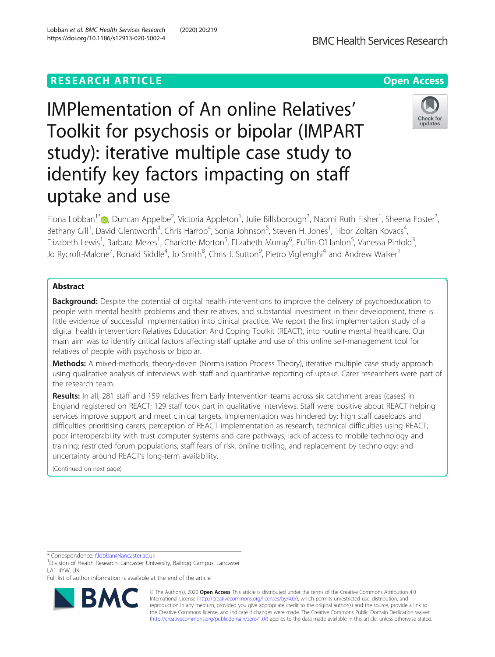IMPlementation of An online Relatives' Toolkit for psychosis or bipolar (IMPART study): iterative multiple case study to identify key factors impacting on staff uptake and use

Fiona Lobban<sup>1[\\*](http://orcid.org/0000-0001-6594-4350)</sup>�, Duncan Appelbe<sup>2</sup>, Victoria Appleton<sup>1</sup>, Julie Billsborough<sup>3</sup>, Naomi Ruth Fisher<sup>1</sup>, Sheena Foster<sup>3</sup> , Bethany Gill<sup>1</sup>, David Glentworth<sup>4</sup>, Chris Harrop<sup>4</sup>, Sonia Johnson<sup>5</sup>, Steven H. Jones<sup>1</sup>, Tibor Zoltan Kovacs<sup>4</sup> , Elizabeth Lewis<sup>1</sup>, Barbara Mezes<sup>1</sup>, Charlotte Morton<sup>5</sup>, Elizabeth Murray<sup>6</sup>, Puffin O'Hanlon<sup>5</sup>, Vanessa Pinfold<sup>3</sup> , Jo Rycroft-Malone<sup>7</sup>, Ronald Siddle<sup>4</sup>, Jo Smith<sup>8</sup>, Chris J. Sutton<sup>9</sup>, Pietro Viglienghi<sup>4</sup> and Andrew Walker<sup>1</sup>

# Abstract

**Background:** Despite the potential of digital health interventions to improve the delivery of psychoeducation to people with mental health problems and their relatives, and substantial investment in their development, there is little evidence of successful implementation into clinical practice. We report the first implementation study of a digital health intervention: Relatives Education And Coping Toolkit (REACT), into routine mental healthcare. Our main aim was to identify critical factors affecting staff uptake and use of this online self-management tool for relatives of people with psychosis or bipolar.

Methods: A mixed-methods, theory-driven (Normalisation Process Theory), iterative multiple case study approach using qualitative analysis of interviews with staff and quantitative reporting of uptake. Carer researchers were part of the research team.

Results: In all, 281 staff and 159 relatives from Early Intervention teams across six catchment areas (cases) in England registered on REACT; 129 staff took part in qualitative interviews. Staff were positive about REACT helping services improve support and meet clinical targets. Implementation was hindered by: high staff caseloads and difficulties prioritising carers; perception of REACT implementation as research; technical difficulties using REACT; poor interoperability with trust computer systems and care pathways; lack of access to mobile technology and training; restricted forum populations; staff fears of risk, online trolling, and replacement by technology; and uncertainty around REACT's long-term availability.

(Continued on next page)

\* Correspondence: [f.lobban@lancaster.ac.uk](mailto:f.lobban@lancaster.ac.uk) <sup>1</sup>

<sup>1</sup> Division of Health Research, Lancaster University, Bailrigg Campus, Lancaster LA1 4YW, UK

Full list of author information is available at the end of the article

© The Author(s). 2020 **Open Access** This article is distributed under the terms of the Creative Commons Attribution 4.0 International License [\(http://creativecommons.org/licenses/by/4.0/](http://creativecommons.org/licenses/by/4.0/)), which permits unrestricted use, distribution, and reproduction in any medium, provided you give appropriate credit to the original author(s) and the source, provide a link to the Creative Commons license, and indicate if changes were made. The Creative Commons Public Domain Dedication waiver [\(http://creativecommons.org/publicdomain/zero/1.0/](http://creativecommons.org/publicdomain/zero/1.0/)) applies to the data made available in this article, unless otherwise stated.





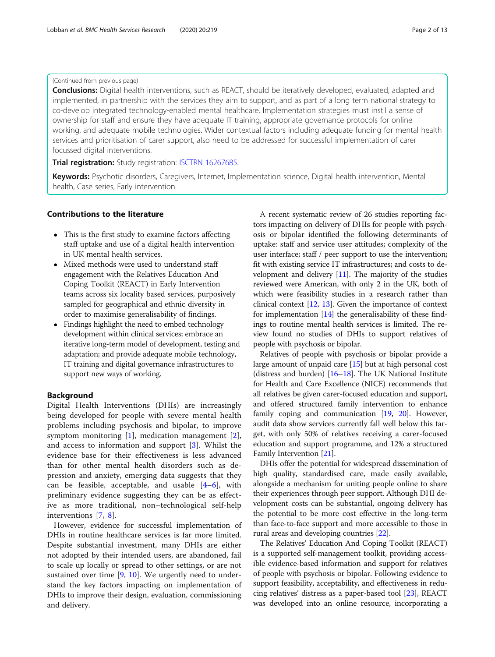## (Continued from previous page)

**Conclusions:** Digital health interventions, such as REACT, should be iteratively developed, evaluated, adapted and implemented, in partnership with the services they aim to support, and as part of a long term national strategy to co-develop integrated technology-enabled mental healthcare. Implementation strategies must instil a sense of ownership for staff and ensure they have adequate IT training, appropriate governance protocols for online working, and adequate mobile technologies. Wider contextual factors including adequate funding for mental health services and prioritisation of carer support, also need to be addressed for successful implementation of carer focussed digital interventions.

Trial registration: Study registration: [ISCTRN 16267685](http://www.isrctn.com/ISRCTN16267685).

Keywords: Psychotic disorders, Caregivers, Internet, Implementation science, Digital health intervention, Mental health, Case series, Early intervention

## Contributions to the literature

- This is the first study to examine factors affecting staff uptake and use of a digital health intervention in UK mental health services.
- Mixed methods were used to understand staff engagement with the Relatives Education And Coping Toolkit (REACT) in Early Intervention teams across six locality based services, purposively sampled for geographical and ethnic diversity in order to maximise generalisability of findings.
- Findings highlight the need to embed technology development within clinical services; embrace an iterative long-term model of development, testing and adaptation; and provide adequate mobile technology, IT training and digital governance infrastructures to support new ways of working.

## Background

Digital Health Interventions (DHIs) are increasingly being developed for people with severe mental health problems including psychosis and bipolar, to improve symptom monitoring  $[1]$  $[1]$ , medication management  $[2]$  $[2]$ , and access to information and support [[3\]](#page-11-0). Whilst the evidence base for their effectiveness is less advanced than for other mental health disorders such as depression and anxiety, emerging data suggests that they can be feasible, acceptable, and usable  $[4-6]$  $[4-6]$  $[4-6]$  $[4-6]$ , with preliminary evidence suggesting they can be as effective as more traditional, non–technological self-help interventions [[7,](#page-12-0) [8\]](#page-12-0).

However, evidence for successful implementation of DHIs in routine healthcare services is far more limited. Despite substantial investment, many DHIs are either not adopted by their intended users, are abandoned, fail to scale up locally or spread to other settings, or are not sustained over time [\[9](#page-12-0), [10\]](#page-12-0). We urgently need to understand the key factors impacting on implementation of DHIs to improve their design, evaluation, commissioning and delivery.

A recent systematic review of 26 studies reporting factors impacting on delivery of DHIs for people with psychosis or bipolar identified the following determinants of uptake: staff and service user attitudes; complexity of the user interface; staff / peer support to use the intervention; fit with existing service IT infrastructures; and costs to development and delivery [\[11\]](#page-12-0). The majority of the studies reviewed were American, with only 2 in the UK, both of which were feasibility studies in a research rather than clinical context [\[12](#page-12-0), [13](#page-12-0)]. Given the importance of context for implementation  $[14]$  $[14]$  the generalisability of these findings to routine mental health services is limited. The review found no studies of DHIs to support relatives of people with psychosis or bipolar.

Relatives of people with psychosis or bipolar provide a large amount of unpaid care [[15](#page-12-0)] but at high personal cost (distress and burden) [\[16](#page-12-0)–[18](#page-12-0)]. The UK National Institute for Health and Care Excellence (NICE) recommends that all relatives be given carer-focused education and support, and offered structured family intervention to enhance family coping and communication [[19](#page-12-0), [20](#page-12-0)]. However, audit data show services currently fall well below this target, with only 50% of relatives receiving a carer-focused education and support programme, and 12% a structured Family Intervention [\[21\]](#page-12-0).

DHIs offer the potential for widespread dissemination of high quality, standardised care, made easily available, alongside a mechanism for uniting people online to share their experiences through peer support. Although DHI development costs can be substantial, ongoing delivery has the potential to be more cost effective in the long-term than face-to-face support and more accessible to those in rural areas and developing countries [\[22\]](#page-12-0).

The Relatives' Education And Coping Toolkit (REACT) is a supported self-management toolkit, providing accessible evidence-based information and support for relatives of people with psychosis or bipolar. Following evidence to support feasibility, acceptability, and effectiveness in reducing relatives' distress as a paper-based tool [\[23\]](#page-12-0), REACT was developed into an online resource, incorporating a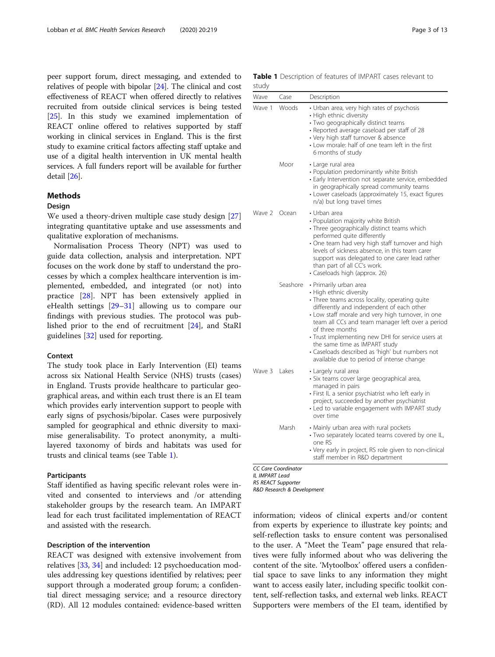peer support forum, direct messaging, and extended to relatives of people with bipolar [\[24\]](#page-12-0). The clinical and cost effectiveness of REACT when offered directly to relatives recruited from outside clinical services is being tested [[25](#page-12-0)]. In this study we examined implementation of REACT online offered to relatives supported by staff working in clinical services in England. This is the first study to examine critical factors affecting staff uptake and use of a digital health intervention in UK mental health services. A full funders report will be available for further detail [\[26\]](#page-12-0).

## **Methods**

### **Design**

We used a theory-driven multiple case study design [[27](#page-12-0)] integrating quantitative uptake and use assessments and qualitative exploration of mechanisms.

Normalisation Process Theory (NPT) was used to guide data collection, analysis and interpretation. NPT focuses on the work done by staff to understand the processes by which a complex healthcare intervention is implemented, embedded, and integrated (or not) into practice [\[28\]](#page-12-0). NPT has been extensively applied in eHealth settings [[29](#page-12-0)–[31](#page-12-0)] allowing us to compare our findings with previous studies. The protocol was published prior to the end of recruitment [\[24\]](#page-12-0), and StaRI guidelines [[32](#page-12-0)] used for reporting.

## Context

The study took place in Early Intervention (EI) teams across six National Health Service (NHS) trusts (cases) in England. Trusts provide healthcare to particular geographical areas, and within each trust there is an EI team which provides early intervention support to people with early signs of psychosis/bipolar. Cases were purposively sampled for geographical and ethnic diversity to maximise generalisability. To protect anonymity, a multilayered taxonomy of birds and habitats was used for trusts and clinical teams (see Table 1).

#### Participants

Staff identified as having specific relevant roles were invited and consented to interviews and /or attending stakeholder groups by the research team. An IMPART lead for each trust facilitated implementation of REACT and assisted with the research.

#### Description of the intervention

REACT was designed with extensive involvement from relatives [\[33,](#page-12-0) [34\]](#page-12-0) and included: 12 psychoeducation modules addressing key questions identified by relatives; peer support through a moderated group forum; a confidential direct messaging service; and a resource directory (RD). All 12 modules contained: evidence-based written

|                                            |  | Table 1 Description of features of IMPART cases relevant to |  |
|--------------------------------------------|--|-------------------------------------------------------------|--|
| <b>Contract Contract Contract Contract</b> |  |                                                             |  |

| study        |          |                                                                                                                                                                                                                                                                                                                                                                                                                                                                    |
|--------------|----------|--------------------------------------------------------------------------------------------------------------------------------------------------------------------------------------------------------------------------------------------------------------------------------------------------------------------------------------------------------------------------------------------------------------------------------------------------------------------|
| Wave         | Case     | Description                                                                                                                                                                                                                                                                                                                                                                                                                                                        |
| Wave 1       | Woods    | • Urban area, very high rates of psychosis<br>• High ethnic diversity<br>· Two geographically distinct teams<br>· Reported average caseload per staff of 28<br>· Very high staff turnover & absence<br>• Low morale: half of one team left in the first<br>6 months of study                                                                                                                                                                                       |
|              | Moor     | · Large rural area<br>• Population predominantly white British<br>· Early Intervention not separate service, embedded<br>in geographically spread community teams<br>· Lower caseloads (approximately 15, exact figures<br>n/a) but long travel times                                                                                                                                                                                                              |
| Wave 2       | Ocean    | • Urban area<br>· Population majority white British<br>· Three geographically distinct teams which<br>performed quite differently<br>· One team had very high staff turnover and high<br>levels of sickness absence, in this team carer<br>support was delegated to one carer lead rather<br>than part of all CC's work.<br>· Caseloads high (approx. 26)                                                                                                          |
|              | Seashore | • Primarily urban area<br>• High ethnic diversity<br>· Three teams across locality, operating quite<br>differently and independent of each other<br>• Low staff morale and very high turnover, in one<br>team all CCs and team manager left over a period<br>of three months<br>· Trust implementing new DHI for service users at<br>the same time as IMPART study<br>· Caseloads described as 'high' but numbers not<br>available due to period of intense change |
| Wave 3 Lakes |          | • Largely rural area<br>· Six teams cover large geographical area,<br>managed in pairs<br>· First IL a senior psychiatrist who left early in<br>project, succeeded by another psychiatrist<br>• Led to variable engagement with IMPART study<br>over time                                                                                                                                                                                                          |
|              | Marsh    | • Mainly urban area with rural pockets<br>· Two separately located teams covered by one IL,<br>one RS<br>• Very early in project, RS role given to non-clinical<br>staff member in R&D department                                                                                                                                                                                                                                                                  |

CC Care Coordinator

IL IMPART Lead

RS REACT Supporter

R&D Research & Development

information; videos of clinical experts and/or content from experts by experience to illustrate key points; and self-reflection tasks to ensure content was personalised to the user. A "Meet the Team" page ensured that relatives were fully informed about who was delivering the content of the site. 'Mytoolbox' offered users a confidential space to save links to any information they might want to access easily later, including specific toolkit content, self-reflection tasks, and external web links. REACT Supporters were members of the EI team, identified by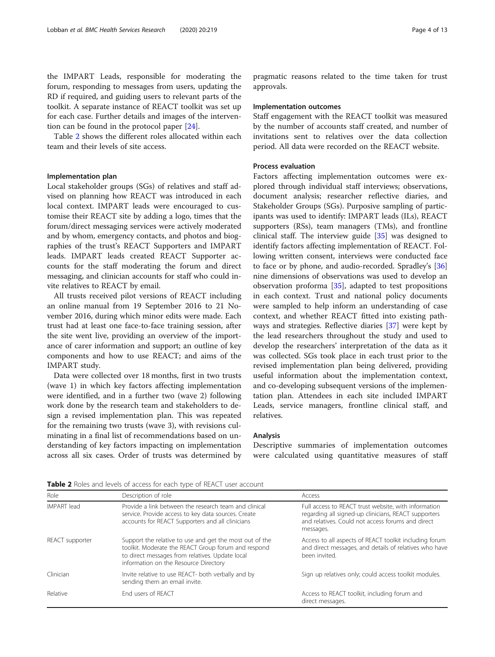the IMPART Leads, responsible for moderating the forum, responding to messages from users, updating the RD if required, and guiding users to relevant parts of the toolkit. A separate instance of REACT toolkit was set up for each case. Further details and images of the intervention can be found in the protocol paper [\[24](#page-12-0)].

Table 2 shows the different roles allocated within each team and their levels of site access.

### Implementation plan

Local stakeholder groups (SGs) of relatives and staff advised on planning how REACT was introduced in each local context. IMPART leads were encouraged to customise their REACT site by adding a logo, times that the forum/direct messaging services were actively moderated and by whom, emergency contacts, and photos and biographies of the trust's REACT Supporters and IMPART leads. IMPART leads created REACT Supporter accounts for the staff moderating the forum and direct messaging, and clinician accounts for staff who could invite relatives to REACT by email.

All trusts received pilot versions of REACT including an online manual from 19 September 2016 to 21 November 2016, during which minor edits were made. Each trust had at least one face-to-face training session, after the site went live, providing an overview of the importance of carer information and support; an outline of key components and how to use REACT; and aims of the IMPART study.

Data were collected over 18 months, first in two trusts (wave 1) in which key factors affecting implementation were identified, and in a further two (wave 2) following work done by the research team and stakeholders to design a revised implementation plan. This was repeated for the remaining two trusts (wave 3), with revisions culminating in a final list of recommendations based on understanding of key factors impacting on implementation across all six cases. Order of trusts was determined by pragmatic reasons related to the time taken for trust approvals.

#### Implementation outcomes

Staff engagement with the REACT toolkit was measured by the number of accounts staff created, and number of invitations sent to relatives over the data collection period. All data were recorded on the REACT website.

## Process evaluation

Factors affecting implementation outcomes were explored through individual staff interviews; observations, document analysis; researcher reflective diaries, and Stakeholder Groups (SGs). Purposive sampling of participants was used to identify: IMPART leads (ILs), REACT supporters (RSs), team managers (TMs), and frontline clinical staff. The interview guide [[35](#page-12-0)] was designed to identify factors affecting implementation of REACT. Following written consent, interviews were conducted face to face or by phone, and audio-recorded. Spradley's [[36](#page-12-0)] nine dimensions of observations was used to develop an observation proforma [[35](#page-12-0)], adapted to test propositions in each context. Trust and national policy documents were sampled to help inform an understanding of case context, and whether REACT fitted into existing pathways and strategies. Reflective diaries [[37](#page-12-0)] were kept by the lead researchers throughout the study and used to develop the researchers' interpretation of the data as it was collected. SGs took place in each trust prior to the revised implementation plan being delivered, providing useful information about the implementation context, and co-developing subsequent versions of the implementation plan. Attendees in each site included IMPART Leads, service managers, frontline clinical staff, and relatives.

## Analysis

Descriptive summaries of implementation outcomes were calculated using quantitative measures of staff

| Role               | Description of role                                                                                                                                                                                        | Access                                                                                                                                                                         |
|--------------------|------------------------------------------------------------------------------------------------------------------------------------------------------------------------------------------------------------|--------------------------------------------------------------------------------------------------------------------------------------------------------------------------------|
| <b>IMPART</b> lead | Provide a link between the research team and clinical<br>service. Provide access to key data sources. Create<br>accounts for REACT Supporters and all clinicians                                           | Full access to REACT trust website, with information<br>regarding all signed-up clinicians, REACT supporters<br>and relatives. Could not access forums and direct<br>messages. |
| REACT supporter    | Support the relative to use and get the most out of the<br>toolkit. Moderate the REACT Group forum and respond<br>to direct messages from relatives. Update local<br>information on the Resource Directory | Access to all aspects of REACT toolkit including forum<br>and direct messages, and details of relatives who have<br>been invited.                                              |
| Clinician          | Invite relative to use REACT- both verbally and by<br>sending them an email invite.                                                                                                                        | Sign up relatives only; could access toolkit modules.                                                                                                                          |
| Relative           | <b>Fnd users of REACT</b>                                                                                                                                                                                  | Access to REACT toolkit, including forum and<br>direct messages.                                                                                                               |

Table 2 Roles and levels of access for each type of REACT user account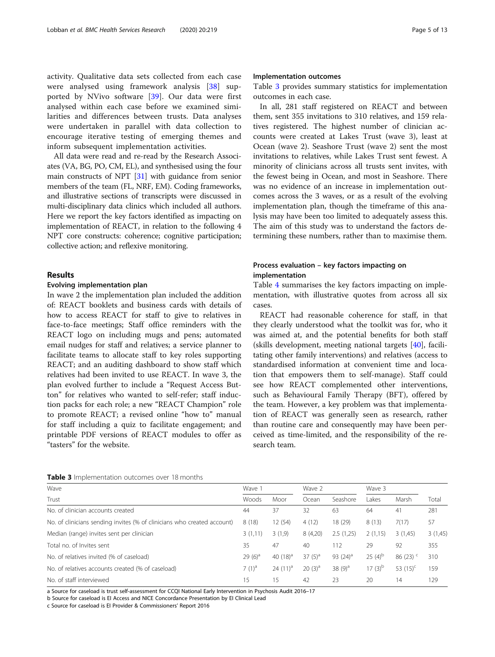activity. Qualitative data sets collected from each case were analysed using framework analysis [[38\]](#page-12-0) supported by NVivo software [[39\]](#page-12-0). Our data were first analysed within each case before we examined similarities and differences between trusts. Data analyses were undertaken in parallel with data collection to encourage iterative testing of emerging themes and inform subsequent implementation activities.

All data were read and re-read by the Research Associates (VA, BG, PO, CM, EL), and synthesised using the four main constructs of NPT [[31](#page-12-0)] with guidance from senior members of the team (FL, NRF, EM). Coding frameworks, and illustrative sections of transcripts were discussed in multi-disciplinary data clinics which included all authors. Here we report the key factors identified as impacting on implementation of REACT, in relation to the following 4 NPT core constructs: coherence; cognitive participation; collective action; and reflexive monitoring.

## Results

### Evolving implementation plan

In wave 2 the implementation plan included the addition of: REACT booklets and business cards with details of how to access REACT for staff to give to relatives in face-to-face meetings; Staff office reminders with the REACT logo on including mugs and pens; automated email nudges for staff and relatives; a service planner to facilitate teams to allocate staff to key roles supporting REACT; and an auditing dashboard to show staff which relatives had been invited to use REACT. In wave 3, the plan evolved further to include a "Request Access Button" for relatives who wanted to self-refer; staff induction packs for each role; a new "REACT Champion" role to promote REACT; a revised online "how to" manual for staff including a quiz to facilitate engagement; and printable PDF versions of REACT modules to offer as "tasters" for the website.

#### Implementation outcomes

Table 3 provides summary statistics for implementation outcomes in each case.

In all, 281 staff registered on REACT and between them, sent 355 invitations to 310 relatives, and 159 relatives registered. The highest number of clinician accounts were created at Lakes Trust (wave 3), least at Ocean (wave 2). Seashore Trust (wave 2) sent the most invitations to relatives, while Lakes Trust sent fewest. A minority of clinicians across all trusts sent invites, with the fewest being in Ocean, and most in Seashore. There was no evidence of an increase in implementation outcomes across the 3 waves, or as a result of the evolving implementation plan, though the timeframe of this analysis may have been too limited to adequately assess this. The aim of this study was to understand the factors determining these numbers, rather than to maximise them.

## Process evaluation – key factors impacting on implementation

Table [4](#page-5-0) summarises the key factors impacting on implementation, with illustrative quotes from across all six cases.

REACT had reasonable coherence for staff, in that they clearly understood what the toolkit was for, who it was aimed at, and the potential benefits for both staff (skills development, meeting national targets [[40\]](#page-12-0), facilitating other family interventions) and relatives (access to standardised information at convenient time and location that empowers them to self-manage). Staff could see how REACT complemented other interventions, such as Behavioural Family Therapy (BFT), offered by the team. However, a key problem was that implementation of REACT was generally seen as research, rather than routine care and consequently may have been perceived as time-limited, and the responsibility of the research team.

| Wave                                                                    | Wave 1    |             | Wave 2        |             | Wave 3      |                        |         |
|-------------------------------------------------------------------------|-----------|-------------|---------------|-------------|-------------|------------------------|---------|
| Trust                                                                   | Woods     | Moor        | Ocean         | Seashore    | Lakes       | Marsh                  | Total   |
| No. of clinician accounts created                                       | 44        | 37          | 32            | 63          | 64          | 41                     | 281     |
| No. of clinicians sending invites (% of clinicians who created account) | 8(18)     | 12(54)      | 4(12)         | 18 (29)     | 8(13)       | 7(17)                  | 57      |
| Median (range) invites sent per clinician                               | 3(1,11)   | 3(1,9)      | 8(4,20)       | 2.5(1,25)   | 2(1,15)     | 3(1,45)                | 3(1,45) |
| Total no. of Invites sent                                               | 35        | 47          | 40            | 112         | 29          | 92                     | 355     |
| No. of relatives invited (% of caseload)                                | $29(6)^a$ | 40 $(18)^a$ | $37(5)^a$     | 93 $(24)^a$ | $25(4)^{b}$ | 86 $(23)$ <sup>c</sup> | 310     |
| No. of relatives accounts created (% of caseload)                       | $7(1)^a$  | 24 $(11)^a$ | $(20)(3)^{a}$ | 38 $(9)^a$  | $17(3)^{b}$ | 53 $(15)^{c}$          | 159     |
| No. of staff interviewed                                                | 15        | 15          | 42            | 23          | 20          | 14                     | 129     |

Table 3 Implementation outcomes over 18 months

a Source for caseload is trust self-assessment for CCQI National Early Intervention in Psychosis Audit 2016–17

b Source for caseload is EI Access and NICE Concordance Presentation by EI Clinical Lead

c Source for caseload is EI Provider & Commissioners' Report 2016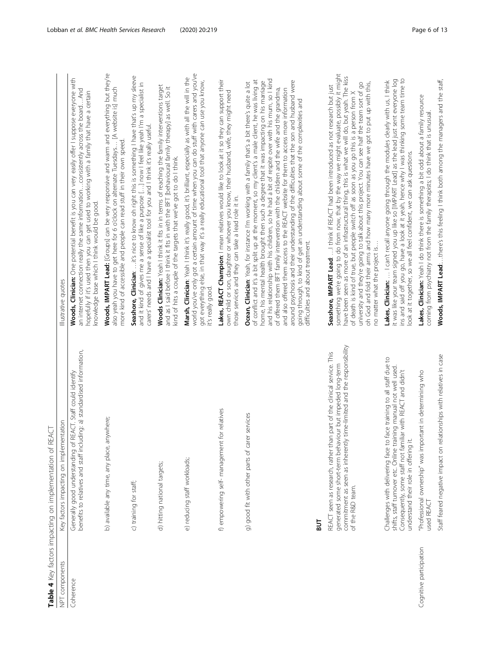<span id="page-5-0"></span>

|                | REACT<br>Table 4 Key factors impacting on implementation of                                                                               |                                                                                                                                                                                                                                                                                                                                                                                                                                                                                                                                                                                                                                                                                                                                                                                                                 |
|----------------|-------------------------------------------------------------------------------------------------------------------------------------------|-----------------------------------------------------------------------------------------------------------------------------------------------------------------------------------------------------------------------------------------------------------------------------------------------------------------------------------------------------------------------------------------------------------------------------------------------------------------------------------------------------------------------------------------------------------------------------------------------------------------------------------------------------------------------------------------------------------------------------------------------------------------------------------------------------------------|
| NPT components | Key factors impacting on implementation                                                                                                   | Illustrative quotes                                                                                                                                                                                                                                                                                                                                                                                                                                                                                                                                                                                                                                                                                                                                                                                             |
| Coherence      | benefits to relatives and staff including: a) standardised information,<br>of REACT. Staff could identify<br>Generally good understanding | Woods, Clinician: One potential benefit is you can very easily offer I suppose everyone with<br>an internet connection really the same informationconsistently across the boardAnd<br>hopefully if it's used then you can get used to working with a family that have a certain<br>knowledge base which I think would be good.                                                                                                                                                                                                                                                                                                                                                                                                                                                                                  |
|                | anywhere;<br>b) available any time, any place                                                                                             | <b>Woods, IMPART Lead:</b> [Groups] can be very responsive and warm and everything but they're<br>also yeah you have to get here for 6 o'clock on alternate Tuesdays [A website is] much<br>more kind of accessible and people can read stuff in their own speed.                                                                                                                                                                                                                                                                                                                                                                                                                                                                                                                                               |
|                | c) training for staff;                                                                                                                    | <b>Seashore, Clinician:</b> it's nice to know oh right this is something I have that's up my sleeve<br>and it kind of gives me a sense of like a purpose [] now I feel like yeah I'm a specialist in<br>carers' needs and I have a specialist tool for you and I think it's really useful.                                                                                                                                                                                                                                                                                                                                                                                                                                                                                                                      |
|                | d) hitting national targets;                                                                                                              | Woods Clinician: Yeah I think it fits in in terms of reaching the family interventions target<br>and as I said before I think it fits in with the BFT [behavioural family therapy] as well. So it<br>kind of hits a couple of the targets that we've got to do I think.                                                                                                                                                                                                                                                                                                                                                                                                                                                                                                                                         |
|                | e) reducing staff workloads;                                                                                                              | world you've only got a certain amount of time when you can do stuff with carers and you've<br>Marsh, Clinician: Yeah I think it's really good, it's brilliant, especially as with all the will in the<br>got everything else, in that way it's a really educational tool that anyone can use you know,<br>it's really good.                                                                                                                                                                                                                                                                                                                                                                                                                                                                                    |
|                | f) empowering self- management for relatives                                                                                              | Lakes, REACT Champion: I mean relatives would like to look at it so they can support their<br>own child or son, daughter or whoever you know, their husband, wife, they might need<br>those services and they can take a lead role it in.                                                                                                                                                                                                                                                                                                                                                                                                                                                                                                                                                                       |
|                | carer services<br>g) good fit with other parts of                                                                                         | and his relationship with his children, so he had a bit of respite over with his mum, so I kind<br>around psychosis and their understanding of the difficulties that the son and husband were<br>of conflict and it's a bit split up at the moment, so my client's a male client, he was living at<br>home, his mental health brought then such a degree that it was impacting on his marriage<br>Ocean, Clinician: Yeah, for instance I'm working with a family that's a bit there's quite a lot<br>of offered them BFT family intervention with the children and the wife and the grandma,<br>and also offered them access to the REACT website for them to access more information<br>going through, to kind of get an understanding about some of the complexities and<br>difficulties and about treatment. |
|                | 들                                                                                                                                         |                                                                                                                                                                                                                                                                                                                                                                                                                                                                                                                                                                                                                                                                                                                                                                                                                 |

# BUT

commitment as seen as inherently time-limited and the responsibility commitment as seen as inherently time-limited and the responsibility REACT seen as research, rather than part of the clinical service. This REACT seen as research, rather than part of the clinical service. This generated some short-term behaviour but impeded long-term generated some short-term behaviour but impeded long-term of the R&D team. of the R&D team.

Challenges with delivering face to face training to all staff due to Challenges with delivering face to face training to all staff due to shifts, staff turnover etc. Online training manual not well used. shifts, staff turnover etc. Online training manual not well used. Consequently, some staff not familiar with REACT and didn't Consequently, some staff not familiar with REACT and didn't understand their role in offering it. understand their role in offering it.

"Professional ownership" was important in determining who Cognitive participation "Professional ownership" was important in determining who used REACT used REACT Cognitive participation

Staff feared negative impact on relationships with relatives in case

something we're going to do from now, that by the way we might evaluate, possibly it might something we're going to do from now, that by the way we might evaluate, possibly it might have been seen as more of an infrastructural thing, this is what we will do, but yeah. The kiss have been seen as more of an infrastructural thing, this is what we will do, but yeah. The kiss university and they're going to talk about this project. You can see half the team sort of go<br>oh God and fold their arms and how many more minutes have we got to put up with this, university and they're going to talk about this project. You can see half the team sort of go oh God and fold their arms and how many more minutes have we got to put up with this, Seashore, IMPART Lead: ... I think if REACT had been introduced as not research but just Seashore, IMPART Lead: …I think if REACT had been introduced as not research but just of death is kind of true, but people switch off as soon as you go this is a person from X of death is kind of true, but people switch off as soon as you go this is a person from X no matter what the project is... …no matter what the project is

it was like your team signed you up like so [IMPART Lead] as the lead just sent everyone log<br>ins and said off you go, have a look at it yeah, hence why I was thinking some team time to ins and said off you go, have a look at it yeah, hence why I was thinking some team time to Lakes, Clinician: ... I can't recall anyone going through the modules clearly with us, I think .... I can't recall anyone going through the modules clearly with us, I think it was like your team signed you up like so [IMPART Lead] as the lead just sent everyone log look at it together, so we all feel confident, we can ask questions. look at it together, so we all feel confident, we can ask questions. …Lakes, Clinician:

**Lakes, Clinician:** Yeah I do think there is something a bit odd about a family resource<br>coming from psychiatry not from the family therapists; I do think that is unusual. Lakes, Clinician: Yeah I do think there is something a bit odd about a family resource coming from psychiatry not from the family therapists; I do think that is unusual.

Woods, IMPART Lead...there's this feeling I think both among the managers and the staff, Staff feared negative impact on relationships with relatives in case Woods, IMPART Lead:…there's this feeling I think both among the managers and the staff,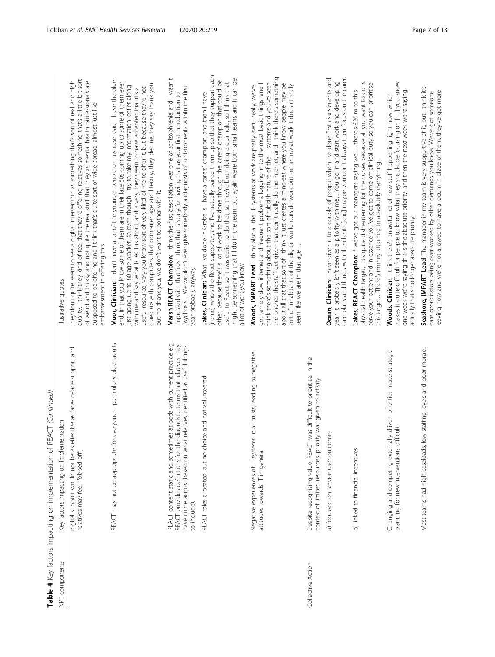|                   | of REACT (Continued)<br>Table 4 Key factors impacting on implementation                                                                                                                                                                       |                                                                                                                                                                                                                                                                                                                                                                                                                                                                                                                                                                                                                                   |
|-------------------|-----------------------------------------------------------------------------------------------------------------------------------------------------------------------------------------------------------------------------------------------|-----------------------------------------------------------------------------------------------------------------------------------------------------------------------------------------------------------------------------------------------------------------------------------------------------------------------------------------------------------------------------------------------------------------------------------------------------------------------------------------------------------------------------------------------------------------------------------------------------------------------------------|
| NPT components    | Key factors impacting on implementation                                                                                                                                                                                                       | Illustrative quotes                                                                                                                                                                                                                                                                                                                                                                                                                                                                                                                                                                                                               |
|                   | as effective as face-to-face support and<br>relatives may feel "fobbed off"<br>digital support would not be                                                                                                                                   | quality, I think they kind of feel that they're offering relatives something that's a little bit sort<br>of weird and tricksy and not quite the real stuff that they as mental health professionals are<br>they don't quite seem to see a digital intervention as something that's sort of real and high<br>supposed to be offering and I think that's quite sort of wide spread, almost just like<br>embarrassment in offering this.                                                                                                                                                                                             |
|                   | REACT may not be appropriate for everyone - particularly older adults                                                                                                                                                                         | Moor, Clinician: I don't have a lot of the younger people on my case load, I have the older<br>end, in that you know some of them are in their late 50s coming up to some of them even<br>clued up with computers, that computer age and literacy, they decline, they say thank you<br>just going up to 60 age bracket, so even though I try to take my information leaflet along<br>with me and say what REACT is about, and a very, they seem to have accepted that it's a<br>useful resource, very you know sort of very kind of me to offer it, but because they're not<br>but no thank you, we don't want to bother with it. |
|                   | netimes at odds with current practice e.g.<br>REACT provides definitions for the diagnostic terms that relatives may<br>have come across (based on what relatives identified as useful things<br>REACT content static and som<br>to include). | Marsh REACT Champion: I think the first description was one of schizophrenia and I wasn't<br>psychosisWe wouldn't ever give somebody a diagnosis of schizophrenia within the first<br>impressed with that 'cos I think that is scary for having that as your first introduction to<br>year probably anyway.                                                                                                                                                                                                                                                                                                                       |
|                   | choice and not volunteered.<br>REACT roles allocated, but no                                                                                                                                                                                  | [name] who's the React supporter, and I've actually paired them up so that they support eac<br>might be something that I'll do in the team, but again we're both small teams and it can be<br>other, because there's a lot of work to be done through the carers' champion that could be<br>useful to React, so it was easier to do that, so they're both doing a dual role, so I think that<br>Lakes, Clinician: What I've done in Grebe is I have a carers' champion, and then I have<br>a lot of work you know                                                                                                                 |
|                   | Negative experiences of IT systems in all trusts, leading to negative<br>attitudes towards IT in general                                                                                                                                      | the phones the staff get given that don't really do the internet, and I think there's something<br>think there's something about the sort of rubbish nature of the IT systems and you've seen<br>got terribly slow internet and frequent problems logging in to the most basic things, and I<br>about all that that sort of I think it just creates a mind-set where you know people may be<br>sort of inhabitants of the digital world outside work but somehow at work it doesn't really<br>Woods, IMPART Lead: I think also all the IT systems at work are pretty awful really, we've<br>seem like we are in that age          |
| Collective Action | Despite recognising value, REACT was difficult to prioritise. In the<br>context of limited resources, priority was given to activity                                                                                                          |                                                                                                                                                                                                                                                                                                                                                                                                                                                                                                                                                                                                                                   |
|                   | a) focussed on service user outcome,                                                                                                                                                                                                          | <b>Ocean, Clinician:</b> I have given it to a couple of people when I've done first assessments and<br>yeah it probably isn't seen as a priority with meYou go in and start work and developing<br>care plans and things with the clients [and] maybe you don't always then focus on the carer                                                                                                                                                                                                                                                                                                                                    |
|                   | b) linked to financial incentives                                                                                                                                                                                                             | physical health targetit's quite disheartening for the nurses because all you want to do is<br>serve your patient and in essence you've got to come off clinical duty so you can prioritise<br>Lakes, REACT Champion: If we've got our managers saying wellthere's £20 m to this                                                                                                                                                                                                                                                                                                                                                  |

Changing and competing externally driven priorities made strategic Changing and competing externally driven priorities made strategic planning for new interventions difficult planning for new interventions difficult

Most teams had high caseloads, low staffing levels and poor morale.

ing for the nurses because all you want to do is …it's quite disheartening for the nurses because all you want to do is ot to come off clinical duty so you can prioritise serve your patient and in essence you've got to come off clinical duty so you can prioritise managers saying well...there's £20 m to this  $\therefore$  there's  $f$ 20 m to this this target...There's money attached to absolutely everything. …There's money attached to absolutely everything.

makes it quite difficult for people to know what they should be focusing on [...] you know …] you know one week we're saying this is the absolute priority, and then the next week we're saying, one week we're saying this is the absolute priority, and then the next week we're saying, Woods, Clinician: I think there's an awful lot of new stuff happening right now, which Woods, Clinician: I think there's an awful lot of new stuff happening right now, which makes it quite difficult for people to know what they should be focusing on [ actually that's no longer absolute priority. actually that's no longer absolute priority.

Seashore, IMPART Lead: The manager in my team is very supportive of it, but I think it's Most teams had high caseloads, low staffing levels and poor morale. Seashore, IMPART Lead: The manager in my team is very supportive of it, but I think it's care coordinators being over-worked by other demands you know. We've got someone<br>leaving now and we're not allowed to have a locum in place of them, they've got more leaving now and we're not allowed to have a locum in place of them, they've got more care coordinators being over-worked by other demands you know. We've got someone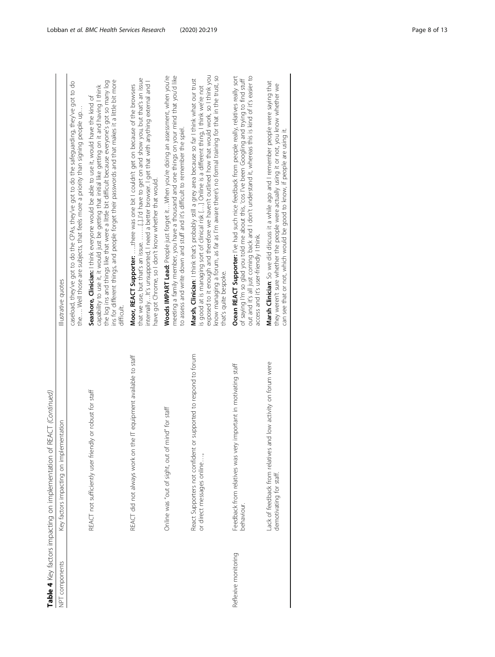| i<br>١<br>í<br>ا<br>                                                                                                     |
|--------------------------------------------------------------------------------------------------------------------------|
| ۱<br>$\ddot{\phantom{0}}$                                                                                                |
| l<br>Ì<br>l                                                                                                              |
|                                                                                                                          |
| S<br>I<br>I<br>ł<br>ļ                                                                                                    |
| 5                                                                                                                        |
| .<br>המורכת המורכת המורכת המורכת המורכת המורכת המורכת המורכת המורכת המורכת המורכת המורכת המורכת המורכת המורכת המורכ<br>١ |
| Ì<br>١                                                                                                                   |
| ١                                                                                                                        |
| Ï                                                                                                                        |
| ı                                                                                                                        |

| NPT components       | Key factors impacting on implementation                                                       | Illustrative quotes                                                                                                                                                                                                                                                                                                                                                                                                                    |
|----------------------|-----------------------------------------------------------------------------------------------|----------------------------------------------------------------------------------------------------------------------------------------------------------------------------------------------------------------------------------------------------------------------------------------------------------------------------------------------------------------------------------------------------------------------------------------|
|                      |                                                                                               | caseload, they've got to do the CPAs, they've got to do the safeguarding, they've got to do<br>the Well those are subjects, that feels more a priority than signing people up.                                                                                                                                                                                                                                                         |
|                      | REACT not sufficiently user friendly or robust for staff                                      | ins for different things, and people forget their passwords and that makes it a little bit more<br>the log ins and things like that were a little bit difficult because everyone's got so many log<br>capability to use it, it would just be getting that initial like getting on it and having I think<br>Seashore, Clinician: I think everyone would be able to use it, would have the kind of<br>difficult                          |
|                      | REACT did not always work on the IT equipment available to staff                              | that we use, but that's an issue. []"I'd have to get on and show you, but that's an issue<br>internallyIt's unsupported, I need a better browser. I get that with anything external and I<br>Moor, REACT Supporter: there was one bit I couldn't get on because of the browsers<br>have got Chrome, so I don't know whether that would.                                                                                                |
|                      | Online was "out of sight, out of mind" for staff                                              | meeting a family member, you have a thousand and one things on your mind that you'd like<br><b>Woods IMPART Lead:</b> People just forget it When you're doing an assessment, when you're<br>to assess and write down and stuff and it's difficult to remember the spiel.                                                                                                                                                               |
|                      | React Supporters not confident or supported to respond to forum<br>or direct messages online, | exposed to it enough and therefore we haven't outlined how that would work, so I think you<br>know managing a forum, as far as I'm aware there's no formal training for that in the trust, so<br><b>Marsh, Clinician</b> : I think that's probably still a grey area because so far I think what our trust<br>is good at is managing sort of clinical risk […] Online is a different thing, I think we're not<br>that's quite bespoke. |
| Reflexive monitoring | Feedback from relatives was very important in motivating staff<br>behaviour.                  | out and it's all just coming back and I don't understand it, whereas this is kind of it's easier to<br>Ocean REACT Supporter: I've had such nice feedback from people really, relatives really sort<br>of saying I'm so glad you told me about this, 'cos I've been Googling and trying to find stuff<br>access and it's user-friendly I think.                                                                                        |
|                      | Lack of feedback from relatives and low activity on forum were<br>demotivating for staff.     | Marsh Clinician: So we did discuss it a while ago and I remember people were saying that<br>they weren't sure whether the people were actually using it or not, you know whether we<br>can see that or not, which would be good to know, if people are using it.                                                                                                                                                                       |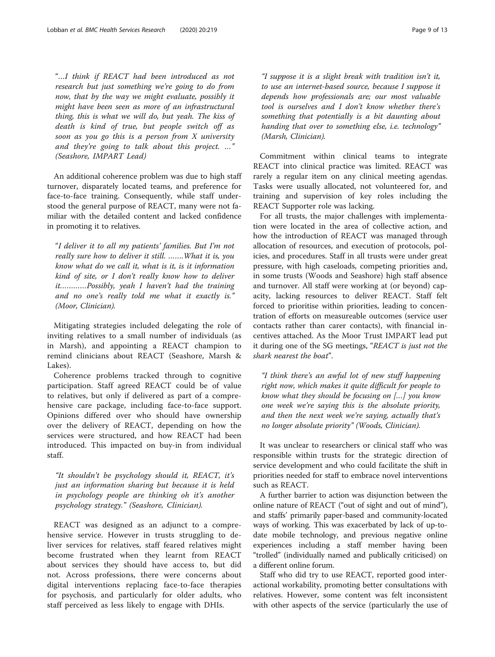"…I think if REACT had been introduced as not research but just something we're going to do from now, that by the way we might evaluate, possibly it might have been seen as more of an infrastructural thing, this is what we will do, but yeah. The kiss of death is kind of true, but people switch off as soon as you go this is a person from X university and they're going to talk about this project. ..." (Seashore, IMPART Lead)

An additional coherence problem was due to high staff turnover, disparately located teams, and preference for face-to-face training. Consequently, while staff understood the general purpose of REACT, many were not familiar with the detailed content and lacked confidence in promoting it to relatives.

"I deliver it to all my patients' families. But I'm not really sure how to deliver it still. …….What it is, you know what do we call it, what is it, is it information kind of site, or I don't really know how to deliver it…………Possibly, yeah I haven't had the training and no one's really told me what it exactly is." (Moor, Clinician).

Mitigating strategies included delegating the role of inviting relatives to a small number of individuals (as in Marsh), and appointing a REACT champion to remind clinicians about REACT (Seashore, Marsh & Lakes).

Coherence problems tracked through to cognitive participation. Staff agreed REACT could be of value to relatives, but only if delivered as part of a comprehensive care package, including face-to-face support. Opinions differed over who should have ownership over the delivery of REACT, depending on how the services were structured, and how REACT had been introduced. This impacted on buy-in from individual staff.

"It shouldn't be psychology should it, REACT, it's just an information sharing but because it is held in psychology people are thinking oh it's another psychology strategy." (Seashore, Clinician).

REACT was designed as an adjunct to a comprehensive service. However in trusts struggling to deliver services for relatives, staff feared relatives might become frustrated when they learnt from REACT about services they should have access to, but did not. Across professions, there were concerns about digital interventions replacing face-to-face therapies for psychosis, and particularly for older adults, who staff perceived as less likely to engage with DHIs.

"I suppose it is a slight break with tradition isn't it, to use an internet-based source, because I suppose it depends how professionals are; our most valuable tool is ourselves and I don't know whether there's something that potentially is a bit daunting about handing that over to something else, i.e. technology" (Marsh, Clinician).

Commitment within clinical teams to integrate REACT into clinical practice was limited. REACT was rarely a regular item on any clinical meeting agendas. Tasks were usually allocated, not volunteered for, and training and supervision of key roles including the REACT Supporter role was lacking.

For all trusts, the major challenges with implementation were located in the area of collective action, and how the introduction of REACT was managed through allocation of resources, and execution of protocols, policies, and procedures. Staff in all trusts were under great pressure, with high caseloads, competing priorities and, in some trusts (Woods and Seashore) high staff absence and turnover. All staff were working at (or beyond) capacity, lacking resources to deliver REACT. Staff felt forced to prioritise within priorities, leading to concentration of efforts on measureable outcomes (service user contacts rather than carer contacts), with financial incentives attached. As the Moor Trust IMPART lead put it during one of the SG meetings, "REACT is just not the shark nearest the boat".

"I think there's an awful lot of new stuff happening right now, which makes it quite difficult for people to know what they should be focusing on […] you know one week we're saying this is the absolute priority, and then the next week we're saying, actually that's no longer absolute priority" (Woods, Clinician).

It was unclear to researchers or clinical staff who was responsible within trusts for the strategic direction of service development and who could facilitate the shift in priorities needed for staff to embrace novel interventions such as REACT.

A further barrier to action was disjunction between the online nature of REACT ("out of sight and out of mind"), and staffs' primarily paper-based and community-located ways of working. This was exacerbated by lack of up-todate mobile technology, and previous negative online experiences including a staff member having been "trolled" (individually named and publically criticised) on a different online forum.

Staff who did try to use REACT, reported good interactional workability, promoting better consultations with relatives. However, some content was felt inconsistent with other aspects of the service (particularly the use of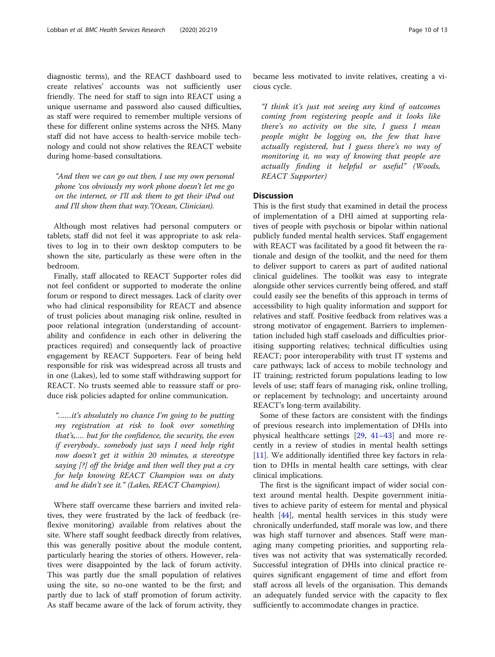diagnostic terms), and the REACT dashboard used to create relatives' accounts was not sufficiently user friendly. The need for staff to sign into REACT using a unique username and password also caused difficulties, as staff were required to remember multiple versions of these for different online systems across the NHS. Many staff did not have access to health-service mobile technology and could not show relatives the REACT website during home-based consultations.

"And then we can go out then, I use my own personal phone 'cos obviously my work phone doesn't let me go on the internet, or I'll ask them to get their iPad out and I'll show them that way."(Ocean, Clinician).

Although most relatives had personal computers or tablets, staff did not feel it was appropriate to ask relatives to log in to their own desktop computers to be shown the site, particularly as these were often in the bedroom.

Finally, staff allocated to REACT Supporter roles did not feel confident or supported to moderate the online forum or respond to direct messages. Lack of clarity over who had clinical responsibility for REACT and absence of trust policies about managing risk online, resulted in poor relational integration (understanding of accountability and confidence in each other in delivering the practices required) and consequently lack of proactive engagement by REACT Supporters. Fear of being held responsible for risk was widespread across all trusts and in one (Lakes), led to some staff withdrawing support for REACT. No trusts seemed able to reassure staff or produce risk policies adapted for online communication.

"……it's absolutely no chance I'm going to be putting my registration at risk to look over something that's,…. but for the confidence, the security, the even if everybody.. somebody just says I need help right now doesn't get it within 20 minutes, a stereotype saying [?] off the bridge and then well they put a cry for help knowing REACT Champion was on duty and he didn't see it." (Lakes, REACT Champion).

Where staff overcame these barriers and invited relatives, they were frustrated by the lack of feedback (reflexive monitoring) available from relatives about the site. Where staff sought feedback directly from relatives, this was generally positive about the module content, particularly hearing the stories of others. However, relatives were disappointed by the lack of forum activity. This was partly due the small population of relatives using the site, so no-one wanted to be the first; and partly due to lack of staff promotion of forum activity. As staff became aware of the lack of forum activity, they

became less motivated to invite relatives, creating a vicious cycle.

"I think it's just not seeing any kind of outcomes coming from registering people and it looks like there's no activity on the site, I guess I mean people might be logging on, the few that have actually registered, but I guess there's no way of monitoring it, no way of knowing that people are actually finding it helpful or useful" (Woods, REACT Supporter)

## **Discussion**

This is the first study that examined in detail the process of implementation of a DHI aimed at supporting relatives of people with psychosis or bipolar within national publicly funded mental health services. Staff engagement with REACT was facilitated by a good fit between the rationale and design of the toolkit, and the need for them to deliver support to carers as part of audited national clinical guidelines. The toolkit was easy to integrate alongside other services currently being offered, and staff could easily see the benefits of this approach in terms of accessibility to high quality information and support for relatives and staff. Positive feedback from relatives was a strong motivator of engagement. Barriers to implementation included high staff caseloads and difficulties prioritising supporting relatives; technical difficulties using REACT; poor interoperability with trust IT systems and care pathways; lack of access to mobile technology and IT training; restricted forum populations leading to low levels of use; staff fears of managing risk, online trolling, or replacement by technology; and uncertainty around REACT's long-term availability.

Some of these factors are consistent with the findings of previous research into implementation of DHIs into physical healthcare settings [\[29,](#page-12-0) [41](#page-12-0)–[43\]](#page-12-0) and more recently in a review of studies in mental health settings [[11\]](#page-12-0). We additionally identified three key factors in relation to DHIs in mental health care settings, with clear clinical implications.

The first is the significant impact of wider social context around mental health. Despite government initiatives to achieve parity of esteem for mental and physical health [\[44](#page-12-0)], mental health services in this study were chronically underfunded, staff morale was low, and there was high staff turnover and absences. Staff were managing many competing priorities, and supporting relatives was not activity that was systematically recorded. Successful integration of DHIs into clinical practice requires significant engagement of time and effort from staff across all levels of the organisation. This demands an adequately funded service with the capacity to flex sufficiently to accommodate changes in practice.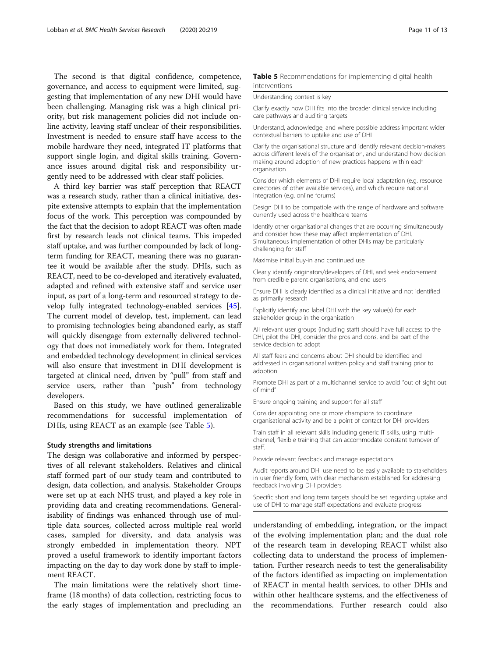The second is that digital confidence, competence, governance, and access to equipment were limited, suggesting that implementation of any new DHI would have been challenging. Managing risk was a high clinical priority, but risk management policies did not include online activity, leaving staff unclear of their responsibilities. Investment is needed to ensure staff have access to the mobile hardware they need, integrated IT platforms that support single login, and digital skills training. Governance issues around digital risk and responsibility urgently need to be addressed with clear staff policies.

A third key barrier was staff perception that REACT was a research study, rather than a clinical initiative, despite extensive attempts to explain that the implementation focus of the work. This perception was compounded by the fact that the decision to adopt REACT was often made first by research leads not clinical teams. This impeded staff uptake, and was further compounded by lack of longterm funding for REACT, meaning there was no guarantee it would be available after the study. DHIs, such as REACT, need to be co-developed and iteratively evaluated, adapted and refined with extensive staff and service user input, as part of a long-term and resourced strategy to develop fully integrated technology-enabled services [[45](#page-12-0)]. The current model of develop, test, implement, can lead to promising technologies being abandoned early, as staff will quickly disengage from externally delivered technology that does not immediately work for them. Integrated and embedded technology development in clinical services will also ensure that investment in DHI development is targeted at clinical need, driven by "pull" from staff and service users, rather than "push" from technology developers.

Based on this study, we have outlined generalizable recommendations for successful implementation of DHIs, using REACT as an example (see Table 5).

#### Study strengths and limitations

The design was collaborative and informed by perspectives of all relevant stakeholders. Relatives and clinical staff formed part of our study team and contributed to design, data collection, and analysis. Stakeholder Groups were set up at each NHS trust, and played a key role in providing data and creating recommendations. Generalisability of findings was enhanced through use of multiple data sources, collected across multiple real world cases, sampled for diversity, and data analysis was strongly embedded in implementation theory. NPT proved a useful framework to identify important factors impacting on the day to day work done by staff to implement REACT.

The main limitations were the relatively short timeframe (18 months) of data collection, restricting focus to the early stages of implementation and precluding an

#### Table 5 Recommendations for implementing digital health interventions

Understanding context is key

Clarify exactly how DHI fits into the broader clinical service including care pathways and auditing targets

Understand, acknowledge, and where possible address important wider contextual barriers to uptake and use of DHI

Clarify the organisational structure and identify relevant decision-makers across different levels of the organisation, and understand how decision making around adoption of new practices happens within each organisation

Consider which elements of DHI require local adaptation (e.g. resource directories of other available services), and which require national integration (e.g. online forums)

Design DHI to be compatible with the range of hardware and software currently used across the healthcare teams

Identify other organisational changes that are occurring simultaneously and consider how these may affect implementation of DHI. Simultaneous implementation of other DHIs may be particularly challenging for staff

Maximise initial buy-in and continued use

Clearly identify originators/developers of DHI, and seek endorsement from credible parent organisations, and end users

Ensure DHI is clearly identified as a clinical initiative and not identified as primarily research

Explicitly identify and label DHI with the key value(s) for each stakeholder group in the organisation

All relevant user groups (including staff) should have full access to the DHI, pilot the DHI, consider the pros and cons, and be part of the service decision to adopt

All staff fears and concerns about DHI should be identified and addressed in organisational written policy and staff training prior to adoption

Promote DHI as part of a multichannel service to avoid "out of sight out of mind"

Ensure ongoing training and support for all staff

Consider appointing one or more champions to coordinate organisational activity and be a point of contact for DHI providers

Train staff in all relevant skills including generic IT skills, using multichannel, flexible training that can accommodate constant turnover of staff.

Provide relevant feedback and manage expectations

Audit reports around DHI use need to be easily available to stakeholders in user friendly form, with clear mechanism established for addressing feedback involving DHI providers

Specific short and long term targets should be set regarding uptake and use of DHI to manage staff expectations and evaluate progress

understanding of embedding, integration, or the impact of the evolving implementation plan; and the dual role of the research team in developing REACT whilst also collecting data to understand the process of implementation. Further research needs to test the generalisability of the factors identified as impacting on implementation of REACT in mental health services, to other DHIs and within other healthcare systems, and the effectiveness of the recommendations. Further research could also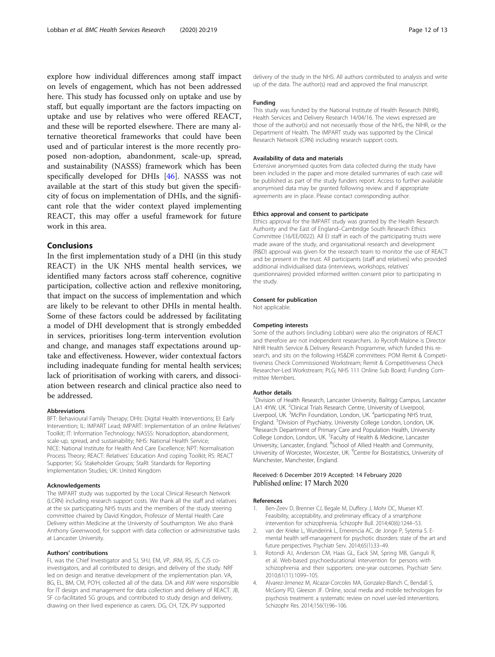<span id="page-11-0"></span>explore how individual differences among staff impact on levels of engagement, which has not been addressed here. This study has focussed only on uptake and use by staff, but equally important are the factors impacting on uptake and use by relatives who were offered REACT, and these will be reported elsewhere. There are many alternative theoretical frameworks that could have been used and of particular interest is the more recently proposed non-adoption, abandonment, scale-up, spread, and sustainability (NASSS) framework which has been specifically developed for DHIs [[46](#page-12-0)]. NASSS was not available at the start of this study but given the specificity of focus on implementation of DHIs, and the significant role that the wider context played implementing REACT, this may offer a useful framework for future work in this area.

## Conclusions

In the first implementation study of a DHI (in this study REACT) in the UK NHS mental health services, we identified many factors across staff coherence, cognitive participation, collective action and reflexive monitoring, that impact on the success of implementation and which are likely to be relevant to other DHIs in mental health. Some of these factors could be addressed by facilitating a model of DHI development that is strongly embedded in services, prioritises long-term intervention evolution and change, and manages staff expectations around uptake and effectiveness. However, wider contextual factors including inadequate funding for mental health services; lack of prioritisation of working with carers, and dissociation between research and clinical practice also need to be addressed.

#### Abbreviations

BFT: Behavioural Family Therapy; DHIs: Digital Health Interventions; EI: Early Intervention; IL: IMPART Lead; IMPART: Implementation of an online Relatives' Toolkit; IT: Information Technology; NASSS: Nonadoption, abandonment, scale-up, spread, and sustainability; NHS: National Health Service; NICE: National Institute for Health And Care Excellence; NPT: Normalisation Process Theory; REACT: Relatives' Education And coping Toolkit; RS: REACT Supporter; SG: Stakeholder Groups; StaRI: Standards for Reporting Implementation Studies; UK: United Kingdom

#### Acknowledgements

The IMPART study was supported by the Local Clinical Research Network (LCRN) including research support costs. We thank all the staff and relatives at the six participating NHS trusts and the members of the study steering committee chaired by David Kingdon, Professor of Mental Health Care Delivery within Medicine at the University of Southampton. We also thank Anthony Greenwood, for support with data collection or administrative tasks at Lancaster University.

#### Authors' contributions

FL was the Chief Investigator and SJ, SHJ, EM, VP, JRM, RS, JS, CJS coinvestigators, and all contributed to design, and delivery of the study. NRF led on design and iterative development of the implementation plan. VA, BG, EL, BM, CM, PO'H, collected all of the data. DA and AW were responsible for IT design and management for data collection and delivery of REACT. JB, SF co-facilitated SG groups, and contributed to study design and delivery, drawing on their lived experience as carers. DG, CH, TZK, PV supported

delivery of the study in the NHS. All authors contributed to analysis and write up of the data. The author(s) read and approved the final manuscript.

#### Funding

This study was funded by the National Institute of Health Research (NIHR), Health Services and Delivery Research 14/04/16. The views expressed are those of the author(s) and not necessarily those of the NHS, the NIHR, or the Department of Health. The IMPART study was supported by the Clinical Research Network (CRN) including research support costs.

#### Availability of data and materials

Extensive anonymised quotes from data collected during the study have been included in the paper and more detailed summaries of each case will be published as part of the study funders report. Access to further available anonymised data may be granted following review and if appropriate agreements are in place. Please contact corresponding author.

#### Ethics approval and consent to participate

Ethics approval for the IMPART study was granted by the Health Research Authority and the East of England–Cambridge South Research Ethics Committee (16/EE/0022). All EI staff in each of the participating trusts were made aware of the study, and organisational research and development (R&D) approval was given for the research team to monitor the use of REACT and be present in the trust. All participants (staff and relatives) who provided additional individualised data (interviews, workshops, relatives' questionnaires) provided informed written consent prior to participating in the study.

#### Consent for publication

Not applicable.

#### Competing interests

Some of the authors (including Lobban) were also the originators of REACT and therefore are not independent researchers. Jo Rycroft-Malone is Director NIHR Health Service & Delivery Research Programme, which funded this research, and sits on the following HS&DR committees: POM Remit & Competitiveness Check Commissioned Workstream; Remit & Competitiveness Check Researcher-Led Workstream; PLG; NHS 111 Online Sub Board; Funding Committee Members.

#### Author details

<sup>1</sup> Division of Health Research, Lancaster University, Bailrigg Campus, Lancaster LA1 4YW, UK. <sup>2</sup>Clinical Trials Research Centre, University of Liverpool Liverpool, UK. <sup>3</sup>McPin Foundation, London, UK. <sup>4</sup>participating NHS trust England. <sup>5</sup> Division of Psychiatry, University College London, London, UK.<br><sup>6</sup> Pesearch Department of Primary Care and Population Hoalth University <sup>6</sup>Research Department of Primary Care and Population Health, University College London, London, UK. <sup>7</sup> Faculty of Health & Medicine, Lancaster University, Lancaster, England. <sup>8</sup>School of Allied Health and Community, University of Worcester, Worcester, UK. <sup>9</sup>Centre for Biostatistics, University of Manchester, Manchester, England.

#### Received: 6 December 2019 Accepted: 14 February 2020 Published online: 17 March 2020

#### References

- 1. Ben-Zeev D, Brenner CJ, Begale M, Duffecy J, Mohr DC, Mueser KT. Feasibility, acceptability, and preliminary efficacy of a smartphone intervention for schizophrenia. Schizophr Bull. 2014;40(6):1244–53.
- 2. van der Krieke L, Wunderink L, Emerencia AC, de Jonge P, Sytema S. Emental health self-management for psychotic disorders: state of the art and future perspectives. Psychiatr Serv. 2014;65(1):33–49.
- 3. Rotondi AJ, Anderson CM, Haas GL, Eack SM, Spring MB, Ganguli R, et al. Web-based psychoeducational intervention for persons with schizophrenia and their supporters: one-year outcomes. Psychiatr Serv. 2010;61(11):1099–105.
- 4. Alvarez-Jimenez M, Alcazar-Corcoles MA, Gonzalez-Blanch C, Bendall S, McGorry PD, Gleeson JF. Online, social media and mobile technologies for psychosis treatment: a systematic review on novel user-led interventions. Schizophr Res. 2014;156(1):96–106.